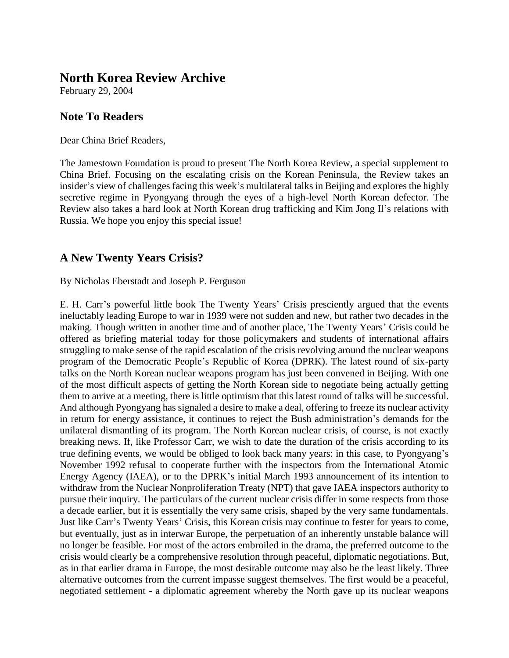# **North Korea Review Archive**

February 29, 2004

## **Note To Readers**

Dear China Brief Readers,

The Jamestown Foundation is proud to present The North Korea Review, a special supplement to China Brief. Focusing on the escalating crisis on the Korean Peninsula, the Review takes an insider's view of challenges facing this week's multilateral talks in Beijing and explores the highly secretive regime in Pyongyang through the eyes of a high-level North Korean defector. The Review also takes a hard look at North Korean drug trafficking and Kim Jong Il's relations with Russia. We hope you enjoy this special issue!

# **A New Twenty Years Crisis?**

By Nicholas Eberstadt and Joseph P. Ferguson

E. H. Carr's powerful little book The Twenty Years' Crisis presciently argued that the events ineluctably leading Europe to war in 1939 were not sudden and new, but rather two decades in the making. Though written in another time and of another place, The Twenty Years' Crisis could be offered as briefing material today for those policymakers and students of international affairs struggling to make sense of the rapid escalation of the crisis revolving around the nuclear weapons program of the Democratic People's Republic of Korea (DPRK). The latest round of six-party talks on the North Korean nuclear weapons program has just been convened in Beijing. With one of the most difficult aspects of getting the North Korean side to negotiate being actually getting them to arrive at a meeting, there is little optimism that this latest round of talks will be successful. And although Pyongyang has signaled a desire to make a deal, offering to freeze its nuclear activity in return for energy assistance, it continues to reject the Bush administration's demands for the unilateral dismantling of its program. The North Korean nuclear crisis, of course, is not exactly breaking news. If, like Professor Carr, we wish to date the duration of the crisis according to its true defining events, we would be obliged to look back many years: in this case, to Pyongyang's November 1992 refusal to cooperate further with the inspectors from the International Atomic Energy Agency (IAEA), or to the DPRK's initial March 1993 announcement of its intention to withdraw from the Nuclear Nonproliferation Treaty (NPT) that gave IAEA inspectors authority to pursue their inquiry. The particulars of the current nuclear crisis differ in some respects from those a decade earlier, but it is essentially the very same crisis, shaped by the very same fundamentals. Just like Carr's Twenty Years' Crisis, this Korean crisis may continue to fester for years to come, but eventually, just as in interwar Europe, the perpetuation of an inherently unstable balance will no longer be feasible. For most of the actors embroiled in the drama, the preferred outcome to the crisis would clearly be a comprehensive resolution through peaceful, diplomatic negotiations. But, as in that earlier drama in Europe, the most desirable outcome may also be the least likely. Three alternative outcomes from the current impasse suggest themselves. The first would be a peaceful, negotiated settlement - a diplomatic agreement whereby the North gave up its nuclear weapons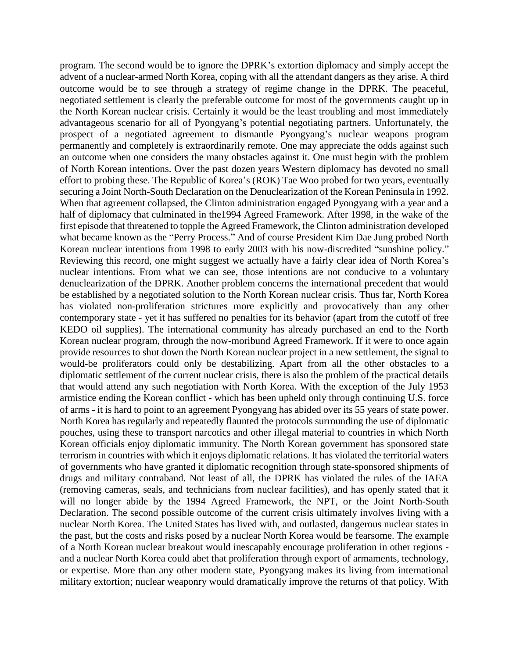program. The second would be to ignore the DPRK's extortion diplomacy and simply accept the advent of a nuclear-armed North Korea, coping with all the attendant dangers as they arise. A third outcome would be to see through a strategy of regime change in the DPRK. The peaceful, negotiated settlement is clearly the preferable outcome for most of the governments caught up in the North Korean nuclear crisis. Certainly it would be the least troubling and most immediately advantageous scenario for all of Pyongyang's potential negotiating partners. Unfortunately, the prospect of a negotiated agreement to dismantle Pyongyang's nuclear weapons program permanently and completely is extraordinarily remote. One may appreciate the odds against such an outcome when one considers the many obstacles against it. One must begin with the problem of North Korean intentions. Over the past dozen years Western diplomacy has devoted no small effort to probing these. The Republic of Korea's (ROK) Tae Woo probed for two years, eventually securing a Joint North-South Declaration on the Denuclearization of the Korean Peninsula in 1992. When that agreement collapsed, the Clinton administration engaged Pyongyang with a year and a half of diplomacy that culminated in the1994 Agreed Framework. After 1998, in the wake of the first episode that threatened to topple the Agreed Framework, the Clinton administration developed what became known as the "Perry Process." And of course President Kim Dae Jung probed North Korean nuclear intentions from 1998 to early 2003 with his now-discredited "sunshine policy." Reviewing this record, one might suggest we actually have a fairly clear idea of North Korea's nuclear intentions. From what we can see, those intentions are not conducive to a voluntary denuclearization of the DPRK. Another problem concerns the international precedent that would be established by a negotiated solution to the North Korean nuclear crisis. Thus far, North Korea has violated non-proliferation strictures more explicitly and provocatively than any other contemporary state - yet it has suffered no penalties for its behavior (apart from the cutoff of free KEDO oil supplies). The international community has already purchased an end to the North Korean nuclear program, through the now-moribund Agreed Framework. If it were to once again provide resources to shut down the North Korean nuclear project in a new settlement, the signal to would-be proliferators could only be destabilizing. Apart from all the other obstacles to a diplomatic settlement of the current nuclear crisis, there is also the problem of the practical details that would attend any such negotiation with North Korea. With the exception of the July 1953 armistice ending the Korean conflict - which has been upheld only through continuing U.S. force of arms - it is hard to point to an agreement Pyongyang has abided over its 55 years of state power. North Korea has regularly and repeatedly flaunted the protocols surrounding the use of diplomatic pouches, using these to transport narcotics and other illegal material to countries in which North Korean officials enjoy diplomatic immunity. The North Korean government has sponsored state terrorism in countries with which it enjoys diplomatic relations. It has violated the territorial waters of governments who have granted it diplomatic recognition through state-sponsored shipments of drugs and military contraband. Not least of all, the DPRK has violated the rules of the IAEA (removing cameras, seals, and technicians from nuclear facilities), and has openly stated that it will no longer abide by the 1994 Agreed Framework, the NPT, or the Joint North-South Declaration. The second possible outcome of the current crisis ultimately involves living with a nuclear North Korea. The United States has lived with, and outlasted, dangerous nuclear states in the past, but the costs and risks posed by a nuclear North Korea would be fearsome. The example of a North Korean nuclear breakout would inescapably encourage proliferation in other regions and a nuclear North Korea could abet that proliferation through export of armaments, technology, or expertise. More than any other modern state, Pyongyang makes its living from international military extortion; nuclear weaponry would dramatically improve the returns of that policy. With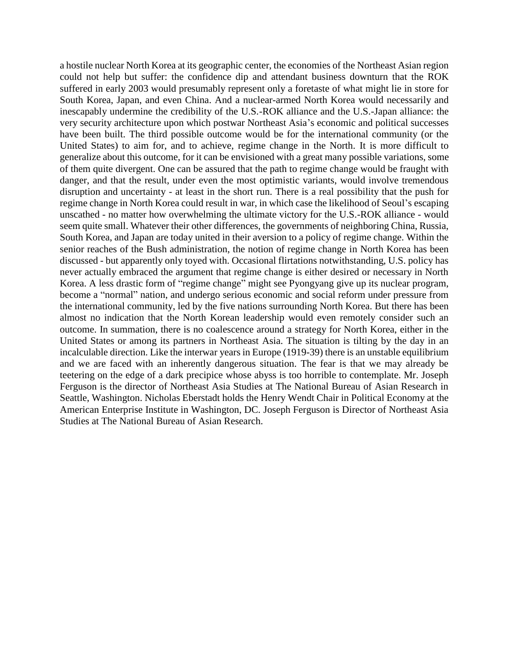a hostile nuclear North Korea at its geographic center, the economies of the Northeast Asian region could not help but suffer: the confidence dip and attendant business downturn that the ROK suffered in early 2003 would presumably represent only a foretaste of what might lie in store for South Korea, Japan, and even China. And a nuclear-armed North Korea would necessarily and inescapably undermine the credibility of the U.S.-ROK alliance and the U.S.-Japan alliance: the very security architecture upon which postwar Northeast Asia's economic and political successes have been built. The third possible outcome would be for the international community (or the United States) to aim for, and to achieve, regime change in the North. It is more difficult to generalize about this outcome, for it can be envisioned with a great many possible variations, some of them quite divergent. One can be assured that the path to regime change would be fraught with danger, and that the result, under even the most optimistic variants, would involve tremendous disruption and uncertainty - at least in the short run. There is a real possibility that the push for regime change in North Korea could result in war, in which case the likelihood of Seoul's escaping unscathed - no matter how overwhelming the ultimate victory for the U.S.-ROK alliance - would seem quite small. Whatever their other differences, the governments of neighboring China, Russia, South Korea, and Japan are today united in their aversion to a policy of regime change. Within the senior reaches of the Bush administration, the notion of regime change in North Korea has been discussed - but apparently only toyed with. Occasional flirtations notwithstanding, U.S. policy has never actually embraced the argument that regime change is either desired or necessary in North Korea. A less drastic form of "regime change" might see Pyongyang give up its nuclear program, become a "normal" nation, and undergo serious economic and social reform under pressure from the international community, led by the five nations surrounding North Korea. But there has been almost no indication that the North Korean leadership would even remotely consider such an outcome. In summation, there is no coalescence around a strategy for North Korea, either in the United States or among its partners in Northeast Asia. The situation is tilting by the day in an incalculable direction. Like the interwar years in Europe (1919-39) there is an unstable equilibrium and we are faced with an inherently dangerous situation. The fear is that we may already be teetering on the edge of a dark precipice whose abyss is too horrible to contemplate. Mr. Joseph Ferguson is the director of Northeast Asia Studies at The National Bureau of Asian Research in Seattle, Washington. Nicholas Eberstadt holds the Henry Wendt Chair in Political Economy at the American Enterprise Institute in Washington, DC. Joseph Ferguson is Director of Northeast Asia Studies at The National Bureau of Asian Research.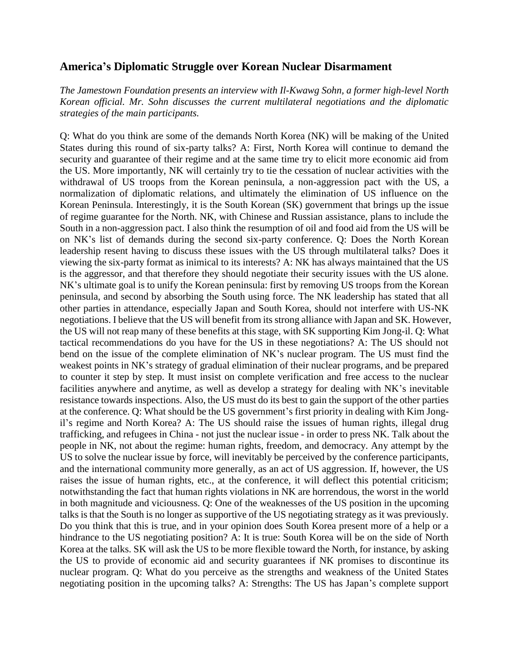### **America's Diplomatic Struggle over Korean Nuclear Disarmament**

*The Jamestown Foundation presents an interview with Il-Kwawg Sohn, a former high-level North Korean official. Mr. Sohn discusses the current multilateral negotiations and the diplomatic strategies of the main participants.* 

Q: What do you think are some of the demands North Korea (NK) will be making of the United States during this round of six-party talks? A: First, North Korea will continue to demand the security and guarantee of their regime and at the same time try to elicit more economic aid from the US. More importantly, NK will certainly try to tie the cessation of nuclear activities with the withdrawal of US troops from the Korean peninsula, a non-aggression pact with the US, a normalization of diplomatic relations, and ultimately the elimination of US influence on the Korean Peninsula. Interestingly, it is the South Korean (SK) government that brings up the issue of regime guarantee for the North. NK, with Chinese and Russian assistance, plans to include the South in a non-aggression pact. I also think the resumption of oil and food aid from the US will be on NK's list of demands during the second six-party conference. Q: Does the North Korean leadership resent having to discuss these issues with the US through multilateral talks? Does it viewing the six-party format as inimical to its interests? A: NK has always maintained that the US is the aggressor, and that therefore they should negotiate their security issues with the US alone. NK's ultimate goal is to unify the Korean peninsula: first by removing US troops from the Korean peninsula, and second by absorbing the South using force. The NK leadership has stated that all other parties in attendance, especially Japan and South Korea, should not interfere with US-NK negotiations. I believe that the US will benefit from its strong alliance with Japan and SK. However, the US will not reap many of these benefits at this stage, with SK supporting Kim Jong-il. Q: What tactical recommendations do you have for the US in these negotiations? A: The US should not bend on the issue of the complete elimination of NK's nuclear program. The US must find the weakest points in NK's strategy of gradual elimination of their nuclear programs, and be prepared to counter it step by step. It must insist on complete verification and free access to the nuclear facilities anywhere and anytime, as well as develop a strategy for dealing with NK's inevitable resistance towards inspections. Also, the US must do its best to gain the support of the other parties at the conference. Q: What should be the US government's first priority in dealing with Kim Jongil's regime and North Korea? A: The US should raise the issues of human rights, illegal drug trafficking, and refugees in China - not just the nuclear issue - in order to press NK. Talk about the people in NK, not about the regime: human rights, freedom, and democracy. Any attempt by the US to solve the nuclear issue by force, will inevitably be perceived by the conference participants, and the international community more generally, as an act of US aggression. If, however, the US raises the issue of human rights, etc., at the conference, it will deflect this potential criticism; notwithstanding the fact that human rights violations in NK are horrendous, the worst in the world in both magnitude and viciousness. Q: One of the weaknesses of the US position in the upcoming talks is that the South is no longer as supportive of the US negotiating strategy as it was previously. Do you think that this is true, and in your opinion does South Korea present more of a help or a hindrance to the US negotiating position? A: It is true: South Korea will be on the side of North Korea at the talks. SK will ask the US to be more flexible toward the North, for instance, by asking the US to provide of economic aid and security guarantees if NK promises to discontinue its nuclear program. Q: What do you perceive as the strengths and weakness of the United States negotiating position in the upcoming talks? A: Strengths: The US has Japan's complete support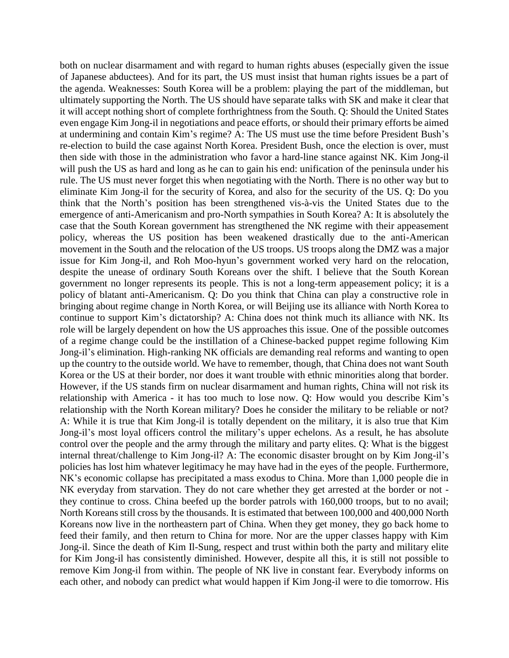both on nuclear disarmament and with regard to human rights abuses (especially given the issue of Japanese abductees). And for its part, the US must insist that human rights issues be a part of the agenda. Weaknesses: South Korea will be a problem: playing the part of the middleman, but ultimately supporting the North. The US should have separate talks with SK and make it clear that it will accept nothing short of complete forthrightness from the South. Q: Should the United States even engage Kim Jong-il in negotiations and peace efforts, or should their primary efforts be aimed at undermining and contain Kim's regime? A: The US must use the time before President Bush's re-election to build the case against North Korea. President Bush, once the election is over, must then side with those in the administration who favor a hard-line stance against NK. Kim Jong-il will push the US as hard and long as he can to gain his end: unification of the peninsula under his rule. The US must never forget this when negotiating with the North. There is no other way but to eliminate Kim Jong-il for the security of Korea, and also for the security of the US. Q: Do you think that the North's position has been strengthened vis-à-vis the United States due to the emergence of anti-Americanism and pro-North sympathies in South Korea? A: It is absolutely the case that the South Korean government has strengthened the NK regime with their appeasement policy, whereas the US position has been weakened drastically due to the anti-American movement in the South and the relocation of the US troops. US troops along the DMZ was a major issue for Kim Jong-il, and Roh Moo-hyun's government worked very hard on the relocation, despite the unease of ordinary South Koreans over the shift. I believe that the South Korean government no longer represents its people. This is not a long-term appeasement policy; it is a policy of blatant anti-Americanism. Q: Do you think that China can play a constructive role in bringing about regime change in North Korea, or will Beijing use its alliance with North Korea to continue to support Kim's dictatorship? A: China does not think much its alliance with NK. Its role will be largely dependent on how the US approaches this issue. One of the possible outcomes of a regime change could be the instillation of a Chinese-backed puppet regime following Kim Jong-il's elimination. High-ranking NK officials are demanding real reforms and wanting to open up the country to the outside world. We have to remember, though, that China does not want South Korea or the US at their border, nor does it want trouble with ethnic minorities along that border. However, if the US stands firm on nuclear disarmament and human rights, China will not risk its relationship with America - it has too much to lose now. Q: How would you describe Kim's relationship with the North Korean military? Does he consider the military to be reliable or not? A: While it is true that Kim Jong-il is totally dependent on the military, it is also true that Kim Jong-il's most loyal officers control the military's upper echelons. As a result, he has absolute control over the people and the army through the military and party elites. Q: What is the biggest internal threat/challenge to Kim Jong-il? A: The economic disaster brought on by Kim Jong-il's policies has lost him whatever legitimacy he may have had in the eyes of the people. Furthermore, NK's economic collapse has precipitated a mass exodus to China. More than 1,000 people die in NK everyday from starvation. They do not care whether they get arrested at the border or not they continue to cross. China beefed up the border patrols with 160,000 troops, but to no avail; North Koreans still cross by the thousands. It is estimated that between 100,000 and 400,000 North Koreans now live in the northeastern part of China. When they get money, they go back home to feed their family, and then return to China for more. Nor are the upper classes happy with Kim Jong-il. Since the death of Kim Il-Sung, respect and trust within both the party and military elite for Kim Jong-il has consistently diminished. However, despite all this, it is still not possible to remove Kim Jong-il from within. The people of NK live in constant fear. Everybody informs on each other, and nobody can predict what would happen if Kim Jong-il were to die tomorrow. His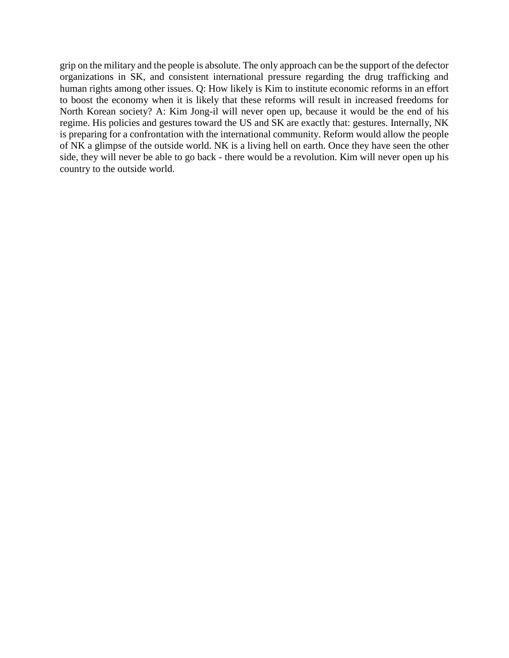grip on the military and the people is absolute. The only approach can be the support of the defector organizations in SK, and consistent international pressure regarding the drug trafficking and human rights among other issues. Q: How likely is Kim to institute economic reforms in an effort to boost the economy when it is likely that these reforms will result in increased freedoms for North Korean society? A: Kim Jong-il will never open up, because it would be the end of his regime. His policies and gestures toward the US and SK are exactly that: gestures. Internally, NK is preparing for a confrontation with the international community. Reform would allow the people of NK a glimpse of the outside world. NK is a living hell on earth. Once they have seen the other side, they will never be able to go back - there would be a revolution. Kim will never open up his country to the outside world.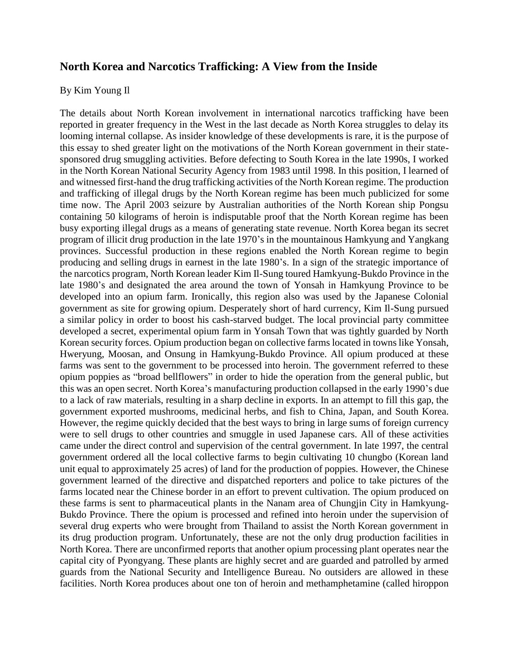#### **North Korea and Narcotics Trafficking: A View from the Inside**

#### By Kim Young Il

The details about North Korean involvement in international narcotics trafficking have been reported in greater frequency in the West in the last decade as North Korea struggles to delay its looming internal collapse. As insider knowledge of these developments is rare, it is the purpose of this essay to shed greater light on the motivations of the North Korean government in their statesponsored drug smuggling activities. Before defecting to South Korea in the late 1990s, I worked in the North Korean National Security Agency from 1983 until 1998. In this position, I learned of and witnessed first-hand the drug trafficking activities of the North Korean regime. The production and trafficking of illegal drugs by the North Korean regime has been much publicized for some time now. The April 2003 seizure by Australian authorities of the North Korean ship Pongsu containing 50 kilograms of heroin is indisputable proof that the North Korean regime has been busy exporting illegal drugs as a means of generating state revenue. North Korea began its secret program of illicit drug production in the late 1970's in the mountainous Hamkyung and Yangkang provinces. Successful production in these regions enabled the North Korean regime to begin producing and selling drugs in earnest in the late 1980's. In a sign of the strategic importance of the narcotics program, North Korean leader Kim Il-Sung toured Hamkyung-Bukdo Province in the late 1980's and designated the area around the town of Yonsah in Hamkyung Province to be developed into an opium farm. Ironically, this region also was used by the Japanese Colonial government as site for growing opium. Desperately short of hard currency, Kim Il-Sung pursued a similar policy in order to boost his cash-starved budget. The local provincial party committee developed a secret, experimental opium farm in Yonsah Town that was tightly guarded by North Korean security forces. Opium production began on collective farms located in towns like Yonsah, Hweryung, Moosan, and Onsung in Hamkyung-Bukdo Province. All opium produced at these farms was sent to the government to be processed into heroin. The government referred to these opium poppies as "broad bellflowers" in order to hide the operation from the general public, but this was an open secret. North Korea's manufacturing production collapsed in the early 1990's due to a lack of raw materials, resulting in a sharp decline in exports. In an attempt to fill this gap, the government exported mushrooms, medicinal herbs, and fish to China, Japan, and South Korea. However, the regime quickly decided that the best ways to bring in large sums of foreign currency were to sell drugs to other countries and smuggle in used Japanese cars. All of these activities came under the direct control and supervision of the central government. In late 1997, the central government ordered all the local collective farms to begin cultivating 10 chungbo (Korean land unit equal to approximately 25 acres) of land for the production of poppies. However, the Chinese government learned of the directive and dispatched reporters and police to take pictures of the farms located near the Chinese border in an effort to prevent cultivation. The opium produced on these farms is sent to pharmaceutical plants in the Nanam area of Chungjin City in Hamkyung-Bukdo Province. There the opium is processed and refined into heroin under the supervision of several drug experts who were brought from Thailand to assist the North Korean government in its drug production program. Unfortunately, these are not the only drug production facilities in North Korea. There are unconfirmed reports that another opium processing plant operates near the capital city of Pyongyang. These plants are highly secret and are guarded and patrolled by armed guards from the National Security and Intelligence Bureau. No outsiders are allowed in these facilities. North Korea produces about one ton of heroin and methamphetamine (called hiroppon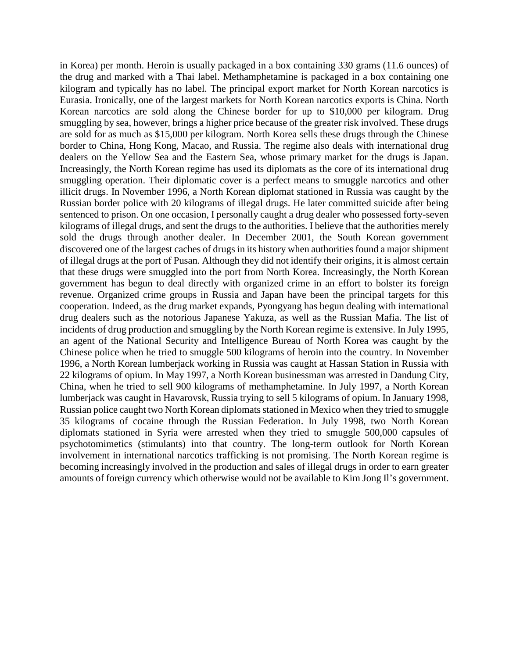in Korea) per month. Heroin is usually packaged in a box containing 330 grams (11.6 ounces) of the drug and marked with a Thai label. Methamphetamine is packaged in a box containing one kilogram and typically has no label. The principal export market for North Korean narcotics is Eurasia. Ironically, one of the largest markets for North Korean narcotics exports is China. North Korean narcotics are sold along the Chinese border for up to \$10,000 per kilogram. Drug smuggling by sea, however, brings a higher price because of the greater risk involved. These drugs are sold for as much as \$15,000 per kilogram. North Korea sells these drugs through the Chinese border to China, Hong Kong, Macao, and Russia. The regime also deals with international drug dealers on the Yellow Sea and the Eastern Sea, whose primary market for the drugs is Japan. Increasingly, the North Korean regime has used its diplomats as the core of its international drug smuggling operation. Their diplomatic cover is a perfect means to smuggle narcotics and other illicit drugs. In November 1996, a North Korean diplomat stationed in Russia was caught by the Russian border police with 20 kilograms of illegal drugs. He later committed suicide after being sentenced to prison. On one occasion, I personally caught a drug dealer who possessed forty-seven kilograms of illegal drugs, and sent the drugs to the authorities. I believe that the authorities merely sold the drugs through another dealer. In December 2001, the South Korean government discovered one of the largest caches of drugs in its history when authorities found a major shipment of illegal drugs at the port of Pusan. Although they did not identify their origins, it is almost certain that these drugs were smuggled into the port from North Korea. Increasingly, the North Korean government has begun to deal directly with organized crime in an effort to bolster its foreign revenue. Organized crime groups in Russia and Japan have been the principal targets for this cooperation. Indeed, as the drug market expands, Pyongyang has begun dealing with international drug dealers such as the notorious Japanese Yakuza, as well as the Russian Mafia. The list of incidents of drug production and smuggling by the North Korean regime is extensive. In July 1995, an agent of the National Security and Intelligence Bureau of North Korea was caught by the Chinese police when he tried to smuggle 500 kilograms of heroin into the country. In November 1996, a North Korean lumberjack working in Russia was caught at Hassan Station in Russia with 22 kilograms of opium. In May 1997, a North Korean businessman was arrested in Dandung City, China, when he tried to sell 900 kilograms of methamphetamine. In July 1997, a North Korean lumberjack was caught in Havarovsk, Russia trying to sell 5 kilograms of opium. In January 1998, Russian police caught two North Korean diplomats stationed in Mexico when they tried to smuggle 35 kilograms of cocaine through the Russian Federation. In July 1998, two North Korean diplomats stationed in Syria were arrested when they tried to smuggle 500,000 capsules of psychotomimetics (stimulants) into that country. The long-term outlook for North Korean involvement in international narcotics trafficking is not promising. The North Korean regime is becoming increasingly involved in the production and sales of illegal drugs in order to earn greater amounts of foreign currency which otherwise would not be available to Kim Jong Il's government.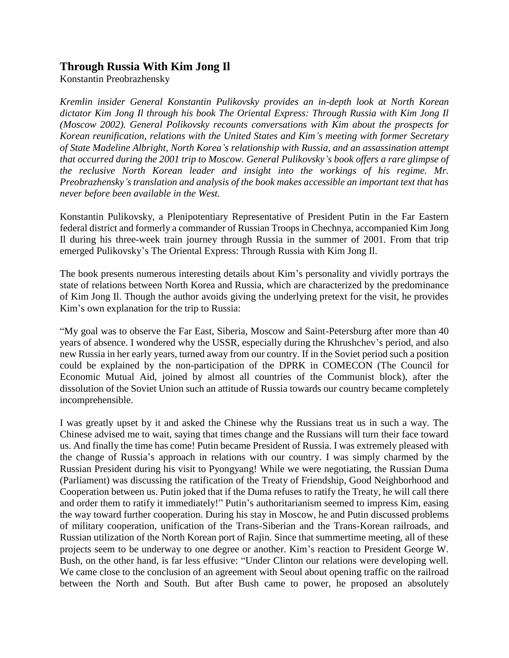### **Through Russia With Kim Jong Il**

Konstantin Preobrazhensky

*Kremlin insider General Konstantin Pulikovsky provides an in-depth look at North Korean dictator Kim Jong Il through his book The Oriental Express: Through Russia with Kim Jong Il (Moscow 2002). General Polikovsky recounts conversations with Kim about the prospects for Korean reunification, relations with the United States and Kim's meeting with former Secretary of State Madeline Albright, North Korea's relationship with Russia, and an assassination attempt that occurred during the 2001 trip to Moscow. General Pulikovsky's book offers a rare glimpse of the reclusive North Korean leader and insight into the workings of his regime. Mr. Preobrazhensky's translation and analysis of the book makes accessible an important text that has never before been available in the West.* 

Konstantin Pulikovsky, a Plenipotentiary Representative of President Putin in the Far Eastern federal district and formerly a commander of Russian Troops in Chechnya, accompanied Kim Jong Il during his three-week train journey through Russia in the summer of 2001. From that trip emerged Pulikovsky's The Oriental Express: Through Russia with Kim Jong Il.

The book presents numerous interesting details about Kim's personality and vividly portrays the state of relations between North Korea and Russia, which are characterized by the predominance of Kim Jong Il. Though the author avoids giving the underlying pretext for the visit, he provides Kim's own explanation for the trip to Russia:

"My goal was to observe the Far East, Siberia, Moscow and Saint-Petersburg after more than 40 years of absence. I wondered why the USSR, especially during the Khrushchev's period, and also new Russia in her early years, turned away from our country. If in the Soviet period such a position could be explained by the non-participation of the DPRK in COMECON (The Council for Economic Mutual Aid, joined by almost all countries of the Communist block), after the dissolution of the Soviet Union such an attitude of Russia towards our country became completely incomprehensible.

I was greatly upset by it and asked the Chinese why the Russians treat us in such a way. The Chinese advised me to wait, saying that times change and the Russians will turn their face toward us. And finally the time has come! Putin became President of Russia. I was extremely pleased with the change of Russia's approach in relations with our country. I was simply charmed by the Russian President during his visit to Pyongyang! While we were negotiating, the Russian Duma (Parliament) was discussing the ratification of the Treaty of Friendship, Good Neighborhood and Cooperation between us. Putin joked that if the Duma refuses to ratify the Treaty, he will call there and order them to ratify it immediately!" Putin's authoritarianism seemed to impress Kim, easing the way toward further cooperation. During his stay in Moscow, he and Putin discussed problems of military cooperation, unification of the Trans-Siberian and the Trans-Korean railroads, and Russian utilization of the North Korean port of Rajin. Since that summertime meeting, all of these projects seem to be underway to one degree or another. Kim's reaction to President George W. Bush, on the other hand, is far less effusive: "Under Clinton our relations were developing well. We came close to the conclusion of an agreement with Seoul about opening traffic on the railroad between the North and South. But after Bush came to power, he proposed an absolutely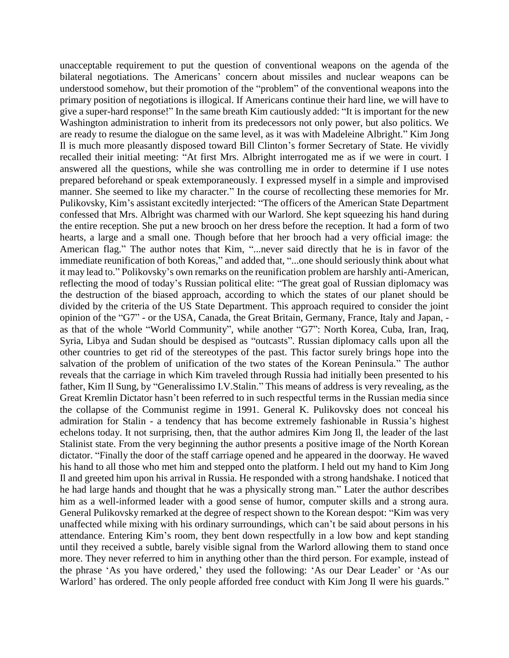unacceptable requirement to put the question of conventional weapons on the agenda of the bilateral negotiations. The Americans' concern about missiles and nuclear weapons can be understood somehow, but their promotion of the "problem" of the conventional weapons into the primary position of negotiations is illogical. If Americans continue their hard line, we will have to give a super-hard response!" In the same breath Kim cautiously added: "It is important for the new Washington administration to inherit from its predecessors not only power, but also politics. We are ready to resume the dialogue on the same level, as it was with Madeleine Albright." Kim Jong Il is much more pleasantly disposed toward Bill Clinton's former Secretary of State. He vividly recalled their initial meeting: "At first Mrs. Albright interrogated me as if we were in court. I answered all the questions, while she was controlling me in order to determine if I use notes prepared beforehand or speak extemporaneously. I expressed myself in a simple and improvised manner. She seemed to like my character." In the course of recollecting these memories for Mr. Pulikovsky, Kim's assistant excitedly interjected: "The officers of the American State Department confessed that Mrs. Albright was charmed with our Warlord. She kept squeezing his hand during the entire reception. She put a new brooch on her dress before the reception. It had a form of two hearts, a large and a small one. Though before that her brooch had a very official image: the American flag." The author notes that Kim, "...never said directly that he is in favor of the immediate reunification of both Koreas," and added that, "...one should seriously think about what it may lead to." Polikovsky's own remarks on the reunification problem are harshly anti-American, reflecting the mood of today's Russian political elite: "The great goal of Russian diplomacy was the destruction of the biased approach, according to which the states of our planet should be divided by the criteria of the US State Department. This approach required to consider the joint opinion of the "G7" - or the USA, Canada, the Great Britain, Germany, France, Italy and Japan, as that of the whole "World Community", while another "G7": North Korea, Cuba, Iran, Iraq, Syria, Libya and Sudan should be despised as "outcasts". Russian diplomacy calls upon all the other countries to get rid of the stereotypes of the past. This factor surely brings hope into the salvation of the problem of unification of the two states of the Korean Peninsula." The author reveals that the carriage in which Kim traveled through Russia had initially been presented to his father, Kim Il Sung, by "Generalissimo I.V.Stalin." This means of address is very revealing, as the Great Kremlin Dictator hasn't been referred to in such respectful terms in the Russian media since the collapse of the Communist regime in 1991. General K. Pulikovsky does not conceal his admiration for Stalin - a tendency that has become extremely fashionable in Russia's highest echelons today. It not surprising, then, that the author admires Kim Jong Il, the leader of the last Stalinist state. From the very beginning the author presents a positive image of the North Korean dictator. "Finally the door of the staff carriage opened and he appeared in the doorway. He waved his hand to all those who met him and stepped onto the platform. I held out my hand to Kim Jong Il and greeted him upon his arrival in Russia. He responded with a strong handshake. I noticed that he had large hands and thought that he was a physically strong man." Later the author describes him as a well-informed leader with a good sense of humor, computer skills and a strong aura. General Pulikovsky remarked at the degree of respect shown to the Korean despot: "Kim was very unaffected while mixing with his ordinary surroundings, which can't be said about persons in his attendance. Entering Kim's room, they bent down respectfully in a low bow and kept standing until they received a subtle, barely visible signal from the Warlord allowing them to stand once more. They never referred to him in anything other than the third person. For example, instead of the phrase 'As you have ordered,' they used the following: 'As our Dear Leader' or 'As our Warlord' has ordered. The only people afforded free conduct with Kim Jong Il were his guards."